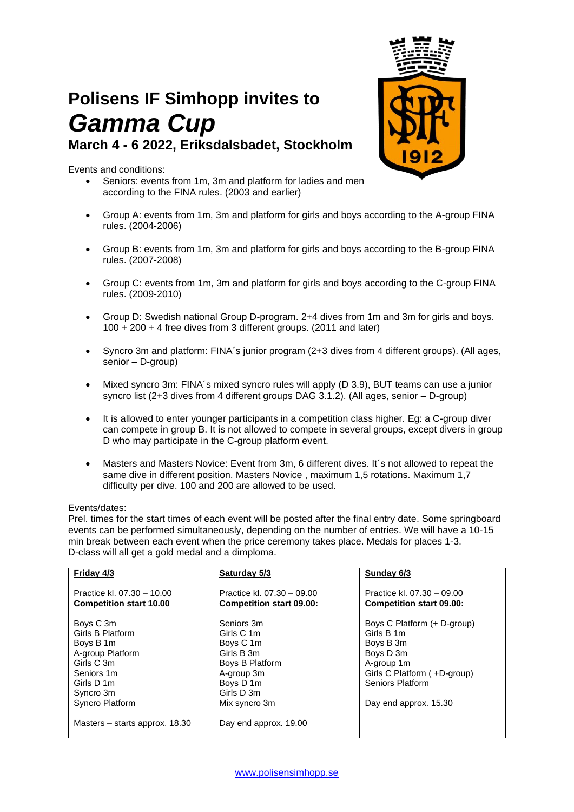# **Polisens IF Simhopp invites to** *Gamma Cup* **March 4 - 6 2022, Eriksdalsbadet, Stockholm**

## Events and conditions:

- Seniors: events from 1m, 3m and platform for ladies and men according to the FINA rules. (2003 and earlier)
- Group A: events from 1m, 3m and platform for girls and boys according to the A-group FINA rules. (2004-2006)
- Group B: events from 1m, 3m and platform for girls and boys according to the B-group FINA rules. (2007-2008)
- Group C: events from 1m, 3m and platform for girls and boys according to the C-group FINA rules. (2009-2010)
- Group D: Swedish national Group D-program. 2+4 dives from 1m and 3m for girls and boys. 100 + 200 + 4 free dives from 3 different groups. (2011 and later)
- Syncro 3m and platform: FINA´s junior program (2+3 dives from 4 different groups). (All ages, senior – D-group)
- Mixed syncro 3m: FINA´s mixed syncro rules will apply (D 3.9), BUT teams can use a junior syncro list (2+3 dives from 4 different groups DAG  $3.1.2$ ). (All ages, senior – D-group)
- It is allowed to enter younger participants in a competition class higher. Eg: a C-group diver can compete in group B. It is not allowed to compete in several groups, except divers in group D who may participate in the C-group platform event.
- Masters and Masters Novice: Event from 3m, 6 different dives. It´s not allowed to repeat the same dive in different position. Masters Novice , maximum 1,5 rotations. Maximum 1,7 difficulty per dive. 100 and 200 are allowed to be used.

#### Events/dates:

Prel. times for the start times of each event will be posted after the final entry date. Some springboard events can be performed simultaneously, depending on the number of entries. We will have a 10-15 min break between each event when the price ceremony takes place. Medals for places 1-3. D-class will all get a gold medal and a dimploma.

| Friday 4/3                     | Saturday 5/3                    | Sunday 6/3                      |
|--------------------------------|---------------------------------|---------------------------------|
|                                |                                 |                                 |
| Practice kl. 07.30 - 10.00     | Practice kl. 07.30 - 09.00      | Practice kl. 07.30 - 09.00      |
|                                |                                 |                                 |
| <b>Competition start 10.00</b> | <b>Competition start 09.00:</b> | <b>Competition start 09.00:</b> |
|                                |                                 |                                 |
| Boys C 3m                      | Seniors 3m                      | Boys C Platform (+ D-group)     |
| Girls B Platform               | Girls C 1m                      | Girls B 1m                      |
| Boys B 1m                      | Boys C 1m                       | Boys B 3m                       |
| A-group Platform               | Girls B 3m                      | Boys D 3m                       |
| Girls C 3m                     | Boys B Platform                 | A-group 1m                      |
| Seniors 1m                     | A-group 3m                      | Girls C Platform (+D-group)     |
| Girls D 1m                     | Boys D 1m                       | Seniors Platform                |
| Syncro 3m                      | Girls D 3m                      |                                 |
| Syncro Platform                | Mix syncro 3m                   | Day end approx. 15.30           |
|                                |                                 |                                 |
| Masters – starts approx. 18.30 | Day end approx. 19.00           |                                 |
|                                |                                 |                                 |

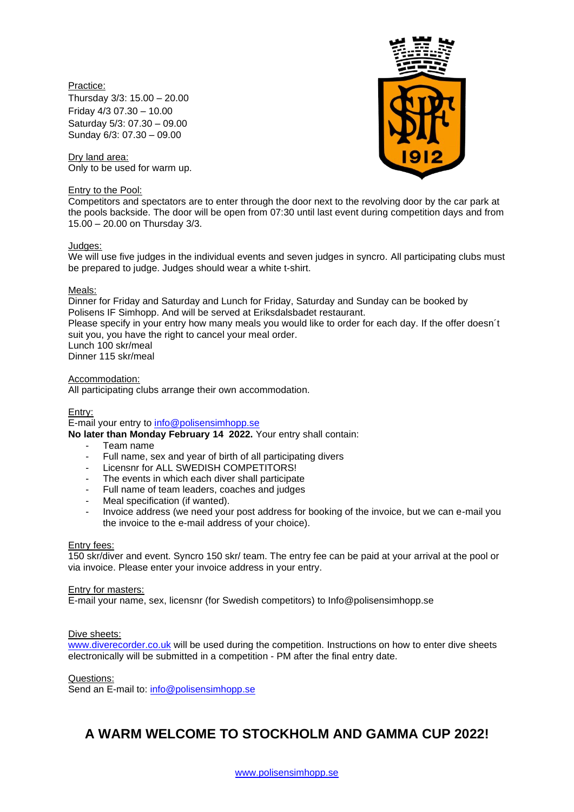## Practice:

Thursday 3/3: 15.00 – 20.00 Friday 4/3 07.30 – 10.00 Saturday 5/3: 07.30 – 09.00 Sunday 6/3: 07.30 – 09.00

Dry land area: Only to be used for warm up.

#### Entry to the Pool:



Competitors and spectators are to enter through the door next to the revolving door by the car park at the pools backside. The door will be open from 07:30 until last event during competition days and from 15.00 – 20.00 on Thursday 3/3.

#### Judges:

We will use five judges in the individual events and seven judges in syncro. All participating clubs must be prepared to judge. Judges should wear a white t-shirt.

#### Meals:

Dinner for Friday and Saturday and Lunch for Friday, Saturday and Sunday can be booked by Polisens IF Simhopp. And will be served at Eriksdalsbadet restaurant. Please specify in your entry how many meals you would like to order for each day. If the offer doesn´t suit you, you have the right to cancel your meal order. Lunch 100 skr/meal Dinner 115 skr/meal

#### Accommodation:

All participating clubs arrange their own accommodation.

#### Entry:

E-mail your entry to [info@polisensimhopp.se](mailto:info@polisensimhopp.se)

**No later than Monday February 14 2022.** Your entry shall contain:

- Team name
- Full name, sex and year of birth of all participating divers
- Licensnr for ALL SWEDISH COMPETITORS!
- The events in which each diver shall participate
- Full name of team leaders, coaches and judges
- Meal specification (if wanted).
- Invoice address (we need your post address for booking of the invoice, but we can e-mail you the invoice to the e-mail address of your choice).

#### Entry fees:

150 skr/diver and event. Syncro 150 skr/ team. The entry fee can be paid at your arrival at the pool or via invoice. Please enter your invoice address in your entry.

#### Entry for masters:

E-mail your name, sex, licensnr (for Swedish competitors) to Info@polisensimhopp.se

#### Dive sheets:

[www.diverecorder.co.uk](http://www.diverecorder.co.uk/) will be used during the competition. Instructions on how to enter dive sheets electronically will be submitted in a competition - PM after the final entry date.

Questions:

Send an E-mail to: [info@polisensimhopp.se](mailto:info@polisensimhopp.se)

# **A WARM WELCOME TO STOCKHOLM AND GAMMA CUP 2022!**